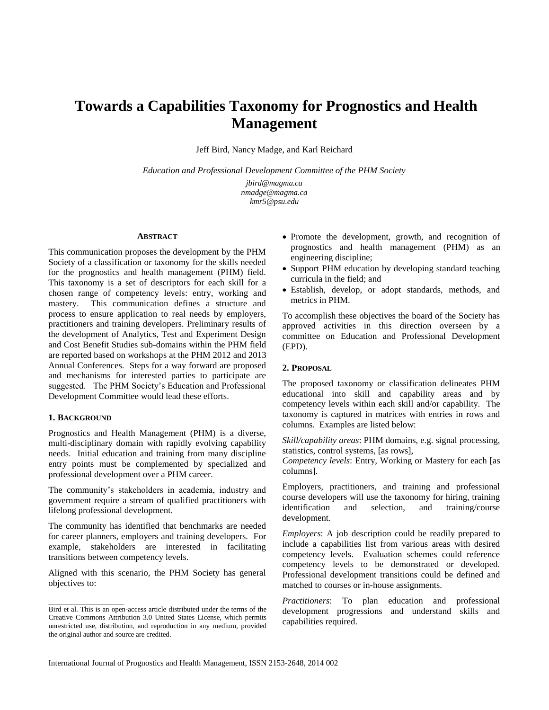# **Towards a Capabilities Taxonomy for Prognostics and Health Management**

Jeff Bird, Nancy Madge, and Karl Reichard

*Education and Professional Development Committee of the PHM Society*

*jbird@magma.ca nmadge@magma.ca kmr5@psu.edu*

#### **ABSTRACT**

This communication proposes the development by the PHM Society of a classification or taxonomy for the skills needed for the prognostics and health management (PHM) field. This taxonomy is a set of descriptors for each skill for a chosen range of competency levels: entry, working and mastery. This communication defines a structure and process to ensure application to real needs by employers, practitioners and training developers. Preliminary results of the development of Analytics, Test and Experiment Design and Cost Benefit Studies sub-domains within the PHM field are reported based on workshops at the PHM 2012 and 2013 Annual Conferences. Steps for a way forward are proposed and mechanisms for interested parties to participate are suggested. The PHM Society's Education and Professional Development Committee would lead these efforts.

#### **1. BACKGROUND**

\_\_\_\_\_\_\_\_\_\_\_\_\_\_\_\_\_\_\_\_\_

Prognostics and Health Management (PHM) is a diverse, multi-disciplinary domain with rapidly evolving capability needs. Initial education and training from many discipline entry points must be complemented by specialized and professional development over a PHM career.

The community's stakeholders in academia, industry and government require a stream of qualified practitioners with lifelong professional development.

The community has identified that benchmarks are needed for career planners, employers and training developers. For example, stakeholders are interested in facilitating transitions between competency levels.

Aligned with this scenario, the PHM Society has general objectives to:

- Promote the development, growth, and recognition of prognostics and health management (PHM) as an engineering discipline;
- Support PHM education by developing standard teaching curricula in the field; and
- Establish, develop, or adopt standards, methods, and metrics in PHM.

To accomplish these objectives the board of the Society has approved activities in this direction overseen by a committee on Education and Professional Development (EPD).

#### **2. PROPOSAL**

The proposed taxonomy or classification delineates PHM educational into skill and capability areas and by competency levels within each skill and/or capability. The taxonomy is captured in matrices with entries in rows and columns. Examples are listed below:

*Skill/capability areas*: PHM domains, e.g. signal processing, statistics, control systems, [as rows],

*Competency levels*: Entry, Working or Mastery for each [as columns].

Employers, practitioners, and training and professional course developers will use the taxonomy for hiring, training identification and selection, and training/course development.

*Employers*: A job description could be readily prepared to include a capabilities list from various areas with desired competency levels. Evaluation schemes could reference competency levels to be demonstrated or developed. Professional development transitions could be defined and matched to courses or in-house assignments.

*Practitioners*: To plan education and professional development progressions and understand skills and capabilities required.

Bird et al. This is an open-access article distributed under the terms of the Creative Commons Attribution 3.0 United States License, which permits unrestricted use, distribution, and reproduction in any medium, provided the original author and source are credited.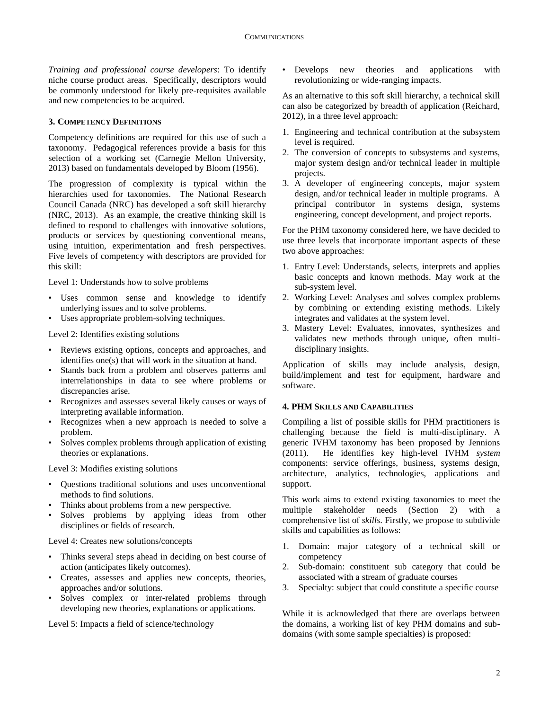*Training and professional course developers*: To identify niche course product areas. Specifically, descriptors would be commonly understood for likely pre-requisites available and new competencies to be acquired.

## **3. COMPETENCY DEFINITIONS**

Competency definitions are required for this use of such a taxonomy. Pedagogical references provide a basis for this selection of a working set (Carnegie Mellon University, 2013) based on fundamentals developed by Bloom (1956).

The progression of complexity is typical within the hierarchies used for taxonomies. The National Research Council Canada (NRC) has developed a soft skill hierarchy (NRC, 2013). As an example, the creative thinking skill is defined to respond to challenges with innovative solutions, products or services by questioning conventional means, using intuition, experimentation and fresh perspectives. Five levels of competency with descriptors are provided for this skill:

Level 1: Understands how to solve problems

- Uses common sense and knowledge to identify underlying issues and to solve problems.
- Uses appropriate problem-solving techniques.

Level 2: Identifies existing solutions

- Reviews existing options, concepts and approaches, and identifies one(s) that will work in the situation at hand.
- Stands back from a problem and observes patterns and interrelationships in data to see where problems or discrepancies arise.
- Recognizes and assesses several likely causes or ways of interpreting available information.
- Recognizes when a new approach is needed to solve a problem.
- Solves complex problems through application of existing theories or explanations.

Level 3: Modifies existing solutions

- Questions traditional solutions and uses unconventional methods to find solutions.
- Thinks about problems from a new perspective.
- Solves problems by applying ideas from other disciplines or fields of research.

Level 4: Creates new solutions/concepts

- Thinks several steps ahead in deciding on best course of action (anticipates likely outcomes).
- Creates, assesses and applies new concepts, theories, approaches and/or solutions.
- Solves complex or inter-related problems through developing new theories, explanations or applications.

Level 5: Impacts a field of science/technology

• Develops new theories and applications with revolutionizing or wide-ranging impacts.

As an alternative to this soft skill hierarchy, a technical skill can also be categorized by breadth of application (Reichard, 2012), in a three level approach:

- 1. Engineering and technical contribution at the subsystem level is required.
- 2. The conversion of concepts to subsystems and systems, major system design and/or technical leader in multiple projects.
- 3. A developer of engineering concepts, major system design, and/or technical leader in multiple programs. A principal contributor in systems design, systems engineering, concept development, and project reports.

For the PHM taxonomy considered here, we have decided to use three levels that incorporate important aspects of these two above approaches:

- 1. Entry Level: Understands, selects, interprets and applies basic concepts and known methods. May work at the sub-system level.
- 2. Working Level: Analyses and solves complex problems by combining or extending existing methods. Likely integrates and validates at the system level.
- 3. Mastery Level: Evaluates, innovates, synthesizes and validates new methods through unique, often multidisciplinary insights.

Application of skills may include analysis, design, build/implement and test for equipment, hardware and software.

## **4. PHM SKILLS AND CAPABILITIES**

Compiling a list of possible skills for PHM practitioners is challenging because the field is multi-disciplinary. A generic IVHM taxonomy has been proposed by Jennions (2011). He identifies key high-level IVHM *system*  components: service offerings, business, systems design, architecture, analytics, technologies, applications and support.

This work aims to extend existing taxonomies to meet the multiple stakeholder needs (Section 2) with a comprehensive list of *skills*. Firstly, we propose to subdivide skills and capabilities as follows:

- 1. Domain: major category of a technical skill or competency
- 2. Sub-domain: constituent sub category that could be associated with a stream of graduate courses
- 3. Specialty: subject that could constitute a specific course

While it is acknowledged that there are overlaps between the domains, a working list of key PHM domains and subdomains (with some sample specialties) is proposed: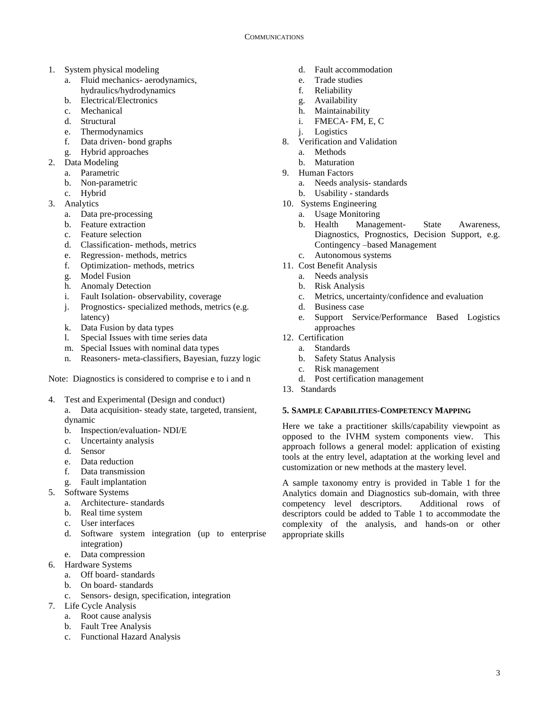- 1. System physical modeling
	- a. Fluid mechanics- aerodynamics, hydraulics/hydrodynamics
	- b. Electrical/Electronics
	- c. Mechanical
	- d. Structural
	- e. Thermodynamics
	- f. Data driven- bond graphs
	- g. Hybrid approaches
- 2. Data Modeling
	- a. Parametric
	- b. Non-parametric
	- c. Hybrid
- 3. Analytics
	- a. Data pre-processing
	- b. Feature extraction
	- c. Feature selection
	- d. Classification- methods, metrics
	- e. Regression- methods, metrics
	- f. Optimization- methods, metrics
	- g. Model Fusion
	- h. Anomaly Detection
	- i. Fault Isolation- observability, coverage
	- j. Prognostics- specialized methods, metrics (e.g. latency)
	- k. Data Fusion by data types
	- l. Special Issues with time series data
	- m. Special Issues with nominal data types
	- n. Reasoners- meta-classifiers, Bayesian, fuzzy logic

Note: Diagnostics is considered to comprise e to i and n

- 4. Test and Experimental (Design and conduct)
	- a. Data acquisition- steady state, targeted, transient, dynamic
	- b. Inspection/evaluation- NDI/E
	- c. Uncertainty analysis
	- d. Sensor
	- e. Data reduction
	- f. Data transmission
	- g. Fault implantation
- 5. Software Systems
	- a. Architecture- standards
	- b. Real time system
	- c. User interfaces
	- d. Software system integration (up to enterprise integration)
	- e. Data compression
- 6. Hardware Systems
	- a. Off board- standards
	- b. On board- standards
	- c. Sensors- design, specification, integration
- 7. Life Cycle Analysis
	- a. Root cause analysis
	- b. Fault Tree Analysis
	- c. Functional Hazard Analysis
- d. Fault accommodation
- e. Trade studies
- f. Reliability
- g. Availability
- h. Maintainability
- i. FMECA- FM, E, C
- j. Logistics
- 8. Verification and Validation
	- a. Methods
	- b. Maturation
- 9. Human Factors
	- a. Needs analysis- standards
	- b. Usability standards
- 10. Systems Engineering
	- a. Usage Monitoring
	- b. Health Management- State Awareness, Diagnostics, Prognostics, Decision Support, e.g. Contingency –based Management
	- c. Autonomous systems
- 11. Cost Benefit Analysis
	- a. Needs analysis
	- b. Risk Analysis
	- c. Metrics, uncertainty/confidence and evaluation
	- d. Business case
	- e. Support Service/Performance Based Logistics approaches
- 12. Certification
	- a. Standards
	- b. Safety Status Analysis
	- c. Risk management
	- d. Post certification management
- 13. Standards

# **5. SAMPLE CAPABILITIES-COMPETENCY MAPPING**

Here we take a practitioner skills/capability viewpoint as opposed to the IVHM system components view. This approach follows a general model: application of existing tools at the entry level, adaptation at the working level and customization or new methods at the mastery level.

A sample taxonomy entry is provided in Table 1 for the Analytics domain and Diagnostics sub-domain, with three competency level descriptors. Additional rows of descriptors could be added to Table 1 to accommodate the complexity of the analysis, and hands-on or other appropriate skills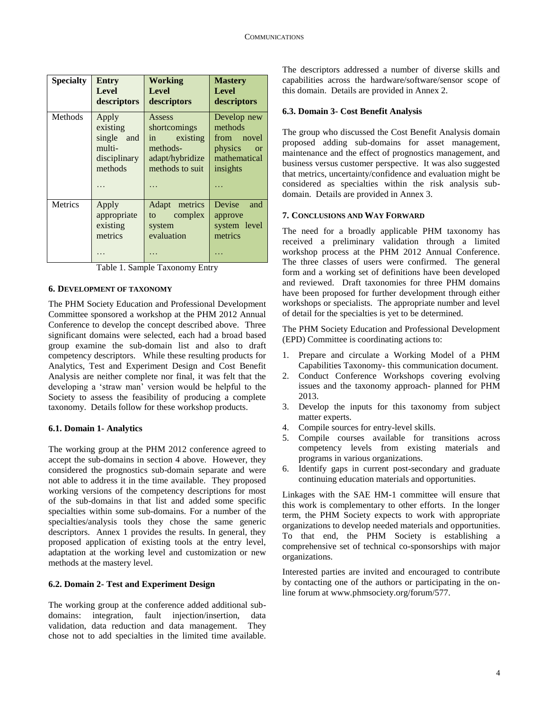| <b>Specialty</b> | <b>Entry</b><br>Level<br>descriptors                                    | Working<br><b>Level</b><br>descriptors                                                  | <b>Mastery</b><br><b>Level</b><br>descriptors                                                |
|------------------|-------------------------------------------------------------------------|-----------------------------------------------------------------------------------------|----------------------------------------------------------------------------------------------|
| Methods          | Apply<br>existing<br>single<br>and<br>multi-<br>disciplinary<br>methods | Assess<br>shortcomings<br>in existing<br>methods-<br>adapt/hybridize<br>methods to suit | Develop new<br>methods<br>from novel<br>physics<br><sub>or</sub><br>mathematical<br>insights |
| <b>Metrics</b>   | Apply<br>appropriate<br>existing<br>metrics                             | Adapt<br>metrics<br>complex<br>to to<br>system<br>evaluation                            | Devise<br>and<br>approve<br>system level<br>metrics                                          |

Table 1. Sample Taxonomy Entry

#### **6. DEVELOPMENT OF TAXONOMY**

The PHM Society Education and Professional Development Committee sponsored a workshop at the PHM 2012 Annual Conference to develop the concept described above. Three significant domains were selected, each had a broad based group examine the sub-domain list and also to draft competency descriptors. While these resulting products for Analytics, Test and Experiment Design and Cost Benefit Analysis are neither complete nor final, it was felt that the developing a 'straw man' version would be helpful to the Society to assess the feasibility of producing a complete taxonomy. Details follow for these workshop products.

## **6.1. Domain 1- Analytics**

The working group at the PHM 2012 conference agreed to accept the sub-domains in section 4 above. However, they considered the prognostics sub-domain separate and were not able to address it in the time available. They proposed working versions of the competency descriptions for most of the sub-domains in that list and added some specific specialties within some sub-domains. For a number of the specialties/analysis tools they chose the same generic descriptors. Annex 1 provides the results. In general, they proposed application of existing tools at the entry level, adaptation at the working level and customization or new methods at the mastery level.

# **6.2. Domain 2- Test and Experiment Design**

The working group at the conference added additional subdomains: integration, fault injection/insertion, data validation, data reduction and data management. They chose not to add specialties in the limited time available.

The descriptors addressed a number of diverse skills and capabilities across the hardware/software/sensor scope of this domain. Details are provided in Annex 2.

## **6.3. Domain 3- Cost Benefit Analysis**

The group who discussed the Cost Benefit Analysis domain proposed adding sub-domains for asset management, maintenance and the effect of prognostics management, and business versus customer perspective. It was also suggested that metrics, uncertainty/confidence and evaluation might be considered as specialties within the risk analysis subdomain. Details are provided in Annex 3.

## **7. CONCLUSIONS AND WAY FORWARD**

The need for a broadly applicable PHM taxonomy has received a preliminary validation through a limited workshop process at the PHM 2012 Annual Conference. The three classes of users were confirmed. The general form and a working set of definitions have been developed and reviewed. Draft taxonomies for three PHM domains have been proposed for further development through either workshops or specialists. The appropriate number and level of detail for the specialties is yet to be determined.

The PHM Society Education and Professional Development (EPD) Committee is coordinating actions to:

- 1. Prepare and circulate a Working Model of a PHM Capabilities Taxonomy- this communication document.
- 2. Conduct Conference Workshops covering evolving issues and the taxonomy approach- planned for PHM 2013.
- 3. Develop the inputs for this taxonomy from subject matter experts.
- 4. Compile sources for entry-level skills.
- 5. Compile courses available for transitions across competency levels from existing materials and programs in various organizations.
- 6. Identify gaps in current post-secondary and graduate continuing education materials and opportunities.

Linkages with the SAE HM-1 committee will ensure that this work is complementary to other efforts. In the longer term, the PHM Society expects to work with appropriate organizations to develop needed materials and opportunities. To that end, the PHM Society is establishing a comprehensive set of technical co-sponsorships with major organizations.

Interested parties are invited and encouraged to contribute by contacting one of the authors or participating in the online forum at www.phmsociety.org/forum/577.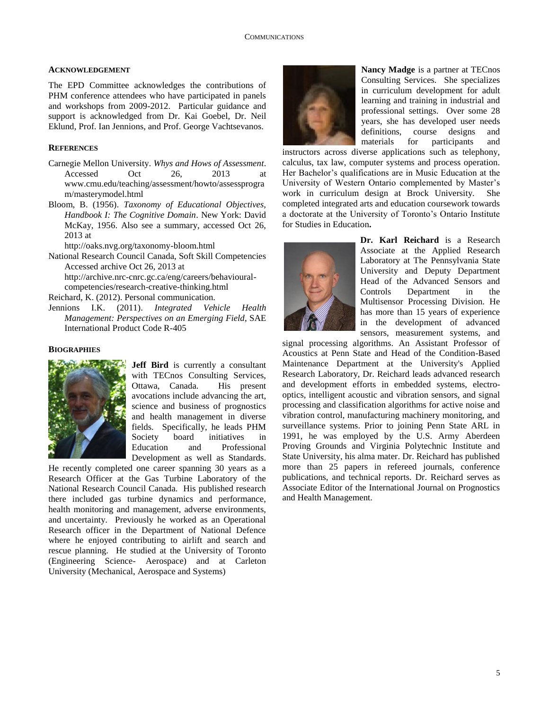# **ACKNOWLEDGEMENT**

The EPD Committee acknowledges the contributions of PHM conference attendees who have participated in panels and workshops from 2009-2012. Particular guidance and support is acknowledged from Dr. Kai Goebel, Dr. Neil Eklund, Prof. Ian Jennions, and Prof. George Vachtsevanos.

# **REFERENCES**

- Carnegie Mellon University. *Whys and Hows of Assessment*. Accessed Oct 26, 2013 at www.cmu.edu/teaching/assessment/howto/assessprogra m/masterymodel.html
- Bloom, B. (1956). *Taxonomy of Educational Objectives, Handbook I: The Cognitive Domain*. New York: David McKay, 1956. Also see a summary, accessed Oct 26, 2013 at

http://oaks.nvg.org/taxonomy-bloom.html

National Research Council Canada, Soft Skill Competencies Accessed archive Oct 26, 2013 at http://archive.nrc-cnrc.gc.ca/eng/careers/behavioural-

competencies/research-creative-thinking.html

Reichard, K. (2012). Personal communication.

Jennions I.K. (2011). *Integrated Vehicle Health Management: Perspectives on an Emerging Field*, SAE International Product Code R-405

# **BIOGRAPHIES**



**Jeff Bird** is currently a consultant with TECnos Consulting Services, Ottawa, Canada. His present avocations include advancing the art, science and business of prognostics and health management in diverse fields. Specifically, he leads PHM Society board initiatives in Education and Professional Development as well as Standards.

He recently completed one career spanning 30 years as a Research Officer at the Gas Turbine Laboratory of the National Research Council Canada. His published research there included gas turbine dynamics and performance, health monitoring and management, adverse environments, and uncertainty. Previously he worked as an Operational Research officer in the Department of National Defence where he enjoyed contributing to airlift and search and rescue planning. He studied at the University of Toronto (Engineering Science- Aerospace) and at Carleton University (Mechanical, Aerospace and Systems)



**Nancy Madge** is a partner at TECnos Consulting Services. She specializes in curriculum development for adult learning and training in industrial and professional settings. Over some 28 years, she has developed user needs definitions, course designs and materials for participants and

instructors across diverse applications such as telephony, calculus, tax law, computer systems and process operation. Her Bachelor's qualifications are in Music Education at the University of Western Ontario complemented by Master's work in curriculum design at Brock University. She completed integrated arts and education coursework towards a doctorate at the University of Toronto's Ontario Institute for Studies in Education**.**



**Dr. Karl Reichard** is a Research Associate at the Applied Research Laboratory at The Pennsylvania State University and Deputy Department Head of the Advanced Sensors and Controls Department in the Multisensor Processing Division. He has more than 15 years of experience in the development of advanced sensors, measurement systems, and

signal processing algorithms. An Assistant Professor of Acoustics at Penn State and Head of the Condition-Based Maintenance Department at the University's Applied Research Laboratory, Dr. Reichard leads advanced research and development efforts in embedded systems, electrooptics, intelligent acoustic and vibration sensors, and signal processing and classification algorithms for active noise and vibration control, manufacturing machinery monitoring, and surveillance systems. Prior to joining Penn State ARL in 1991, he was employed by the U.S. Army Aberdeen Proving Grounds and Virginia Polytechnic Institute and State University, his alma mater. Dr. Reichard has published more than 25 papers in refereed journals, conference publications, and technical reports. Dr. Reichard serves as Associate Editor of the International Journal on Prognostics and Health Management.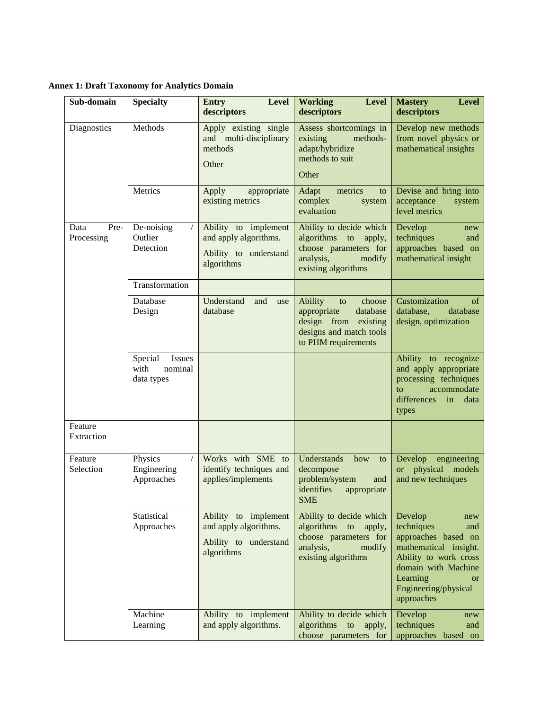**Annex 1: Draft Taxonomy for Analytics Domain**

| Sub-domain                 | <b>Specialty</b>                                   | Level<br><b>Entry</b><br>descriptors                                                 | <b>Working</b><br><b>Level</b><br>descriptors                                                                                   | <b>Mastery</b><br><b>Level</b><br>descriptors                                                                                                                                                      |
|----------------------------|----------------------------------------------------|--------------------------------------------------------------------------------------|---------------------------------------------------------------------------------------------------------------------------------|----------------------------------------------------------------------------------------------------------------------------------------------------------------------------------------------------|
| Diagnostics                | Methods                                            | Apply existing single<br>and multi-disciplinary<br>methods<br>Other                  | Assess shortcomings in<br>existing<br>methods-<br>adapt/hybridize<br>methods to suit<br>Other                                   | Develop new methods<br>from novel physics or<br>mathematical insights                                                                                                                              |
|                            | Metrics                                            | Apply<br>appropriate<br>existing metrics                                             | Adapt<br>metrics<br>to<br>complex<br>system<br>evaluation                                                                       | Devise and bring into<br>acceptance<br>system<br>level metrics                                                                                                                                     |
| Pre-<br>Data<br>Processing | De-noising<br>Outlier<br>Detection                 | Ability to implement<br>and apply algorithms.<br>Ability to understand<br>algorithms | Ability to decide which<br>algorithms<br>to<br>apply,<br>choose parameters for<br>analysis,<br>modify<br>existing algorithms    | Develop<br>new<br>techniques<br>and<br>approaches based on<br>mathematical insight                                                                                                                 |
|                            | Transformation                                     |                                                                                      |                                                                                                                                 |                                                                                                                                                                                                    |
|                            | Database<br>Design                                 | Understand<br>and<br>use<br>database                                                 | Ability<br>choose<br>to<br>appropriate<br>database<br>design from<br>existing<br>designs and match tools<br>to PHM requirements | Customization<br>of<br>database,<br>database<br>design, optimization                                                                                                                               |
|                            | Special<br>Issues<br>with<br>nominal<br>data types |                                                                                      |                                                                                                                                 | Ability to recognize<br>and apply appropriate<br>processing techniques<br>accommodate<br>$\mathbf{t}$<br>differences<br>in<br>data<br>types                                                        |
| Feature<br>Extraction      |                                                    |                                                                                      |                                                                                                                                 |                                                                                                                                                                                                    |
| Feature<br>Selection       | $\sqrt{ }$<br>Physics<br>Engineering<br>Approaches | Works with SME to<br>identify techniques and<br>applies/implements                   | Understands<br>how<br>to<br>decompose<br>problem/system<br>and<br>identifies<br>appropriate<br><b>SME</b>                       | Develop engineering<br>physical models<br><b>or</b><br>and new techniques                                                                                                                          |
|                            | Statistical<br>Approaches                          | Ability to implement<br>and apply algorithms.<br>Ability to understand<br>algorithms | Ability to decide which<br>algorithms to<br>apply,<br>choose parameters for<br>analysis,<br>modify<br>existing algorithms       | Develop<br>new<br>techniques<br>and<br>approaches based on<br>mathematical insight.<br>Ability to work cross<br>domain with Machine<br>Learning<br><b>or</b><br>Engineering/physical<br>approaches |
|                            | Machine<br>Learning                                | Ability to implement<br>and apply algorithms.                                        | Ability to decide which<br>algorithms to<br>apply,<br>choose parameters for                                                     | Develop<br>new<br>techniques<br>and<br>approaches based on                                                                                                                                         |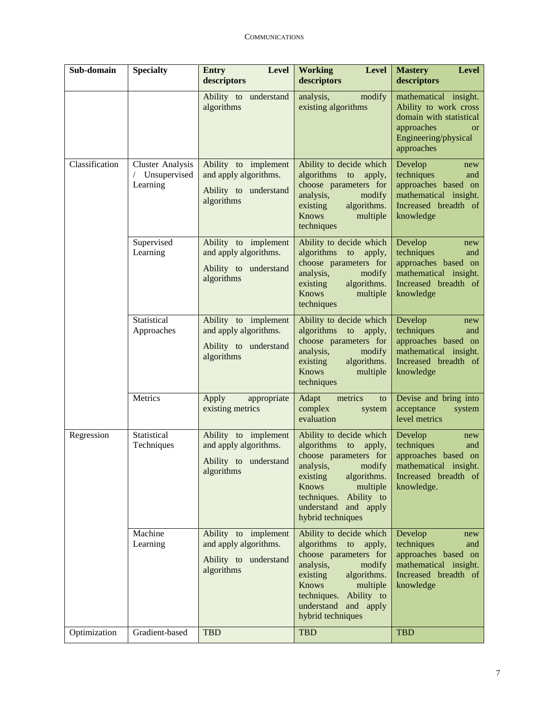| Sub-domain     | <b>Specialty</b>                                    | <b>Entry</b><br>Level<br>descriptors                                                 | <b>Level</b><br><b>Working</b><br>descriptors                                                                                                                                                                                 | <b>Mastery</b><br><b>Level</b><br>descriptors                                                                                              |
|----------------|-----------------------------------------------------|--------------------------------------------------------------------------------------|-------------------------------------------------------------------------------------------------------------------------------------------------------------------------------------------------------------------------------|--------------------------------------------------------------------------------------------------------------------------------------------|
|                |                                                     | Ability to understand<br>algorithms                                                  | analysis,<br>modify<br>existing algorithms                                                                                                                                                                                    | mathematical insight.<br>Ability to work cross<br>domain with statistical<br>approaches<br><b>or</b><br>Engineering/physical<br>approaches |
| Classification | <b>Cluster Analysis</b><br>Unsupervised<br>Learning | Ability to implement<br>and apply algorithms.<br>Ability to understand<br>algorithms | Ability to decide which<br>algorithms to<br>apply,<br>choose parameters for<br>analysis,<br>modify<br>existing<br>algorithms.<br><b>Knows</b><br>multiple<br>techniques                                                       | Develop<br>new<br>techniques<br>and<br>approaches based on<br>mathematical insight.<br>Increased breadth of<br>knowledge                   |
|                | Supervised<br>Learning                              | Ability to implement<br>and apply algorithms.<br>Ability to understand<br>algorithms | Ability to decide which<br>algorithms to<br>apply,<br>choose parameters for<br>analysis,<br>modify<br>existing<br>algorithms.<br><b>Knows</b><br>multiple<br>techniques                                                       | Develop<br>new<br>techniques<br>and<br>approaches based on<br>mathematical insight.<br>Increased breadth of<br>knowledge                   |
|                | Statistical<br>Approaches                           | Ability to implement<br>and apply algorithms.<br>Ability to understand<br>algorithms | Ability to decide which<br>algorithms to<br>apply,<br>choose parameters for<br>analysis,<br>modify<br>existing<br>algorithms.<br><b>Knows</b><br>multiple<br>techniques                                                       | Develop<br>new<br>techniques<br>and<br>approaches based on<br>mathematical insight.<br>Increased breadth of<br>knowledge                   |
|                | Metrics                                             | Apply<br>appropriate<br>existing metrics                                             | Adapt<br>metrics<br>to<br>complex<br>system<br>evaluation                                                                                                                                                                     | Devise and bring into<br>acceptance<br>system<br>level metrics                                                                             |
| Regression     | Statistical<br>Techniques                           | Ability to implement<br>and apply algorithms.<br>Ability to understand<br>algorithms | Ability to decide which<br>algorithms to<br>apply,<br>choose parameters for<br>analysis, modify<br>algorithms.<br>existing<br><b>Knows</b><br>multiple<br>techniques. Ability to<br>understand and apply<br>hybrid techniques | Develop<br>new<br>techniques<br>and<br>approaches based on<br>mathematical insight.<br>Increased breadth of<br>knowledge.                  |
|                | Machine<br>Learning                                 | Ability to implement<br>and apply algorithms.<br>Ability to understand<br>algorithms | Ability to decide which<br>algorithms to<br>apply,<br>choose parameters for<br>analysis,<br>modify<br>existing<br>algorithms.<br>Knows<br>multiple<br>techniques. Ability to<br>understand and apply<br>hybrid techniques     | Develop<br>new<br>techniques<br>and<br>approaches based on<br>mathematical insight.<br>Increased breadth of<br>knowledge                   |
| Optimization   | Gradient-based                                      | <b>TBD</b>                                                                           | <b>TBD</b>                                                                                                                                                                                                                    | <b>TBD</b>                                                                                                                                 |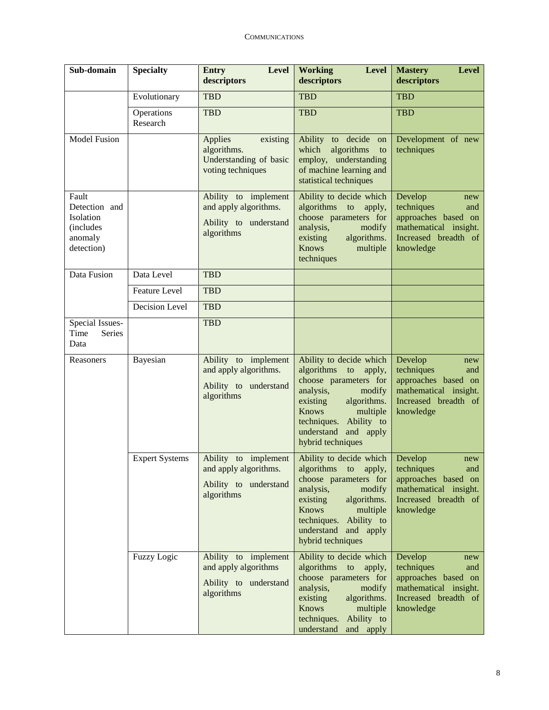| Sub-domain                                                                | <b>Specialty</b>       | <b>Level</b><br><b>Entry</b><br>descriptors                                          | <b>Working</b><br><b>Level</b><br>descriptors                                                                                                                                                                                    | <b>Mastery</b><br><b>Level</b><br>descriptors                                                                            |
|---------------------------------------------------------------------------|------------------------|--------------------------------------------------------------------------------------|----------------------------------------------------------------------------------------------------------------------------------------------------------------------------------------------------------------------------------|--------------------------------------------------------------------------------------------------------------------------|
|                                                                           | Evolutionary           | <b>TBD</b>                                                                           | <b>TBD</b>                                                                                                                                                                                                                       | <b>TBD</b>                                                                                                               |
|                                                                           | Operations<br>Research | <b>TBD</b>                                                                           | <b>TBD</b>                                                                                                                                                                                                                       | <b>TBD</b>                                                                                                               |
| <b>Model Fusion</b>                                                       |                        | Applies<br>existing<br>algorithms.<br>Understanding of basic<br>voting techniques    | Ability to decide<br>on<br>algorithms<br>which<br>to<br>employ, understanding<br>of machine learning and<br>statistical techniques                                                                                               | Development of new<br>techniques                                                                                         |
| Fault<br>Detection and<br>Isolation<br>(includes<br>anomaly<br>detection) |                        | Ability to implement<br>and apply algorithms.<br>Ability to understand<br>algorithms | Ability to decide which<br>algorithms to<br>apply,<br>choose parameters for<br>analysis,<br>modify<br>existing<br>algorithms.<br><b>Knows</b><br>multiple<br>techniques                                                          | Develop<br>new<br>techniques<br>and<br>approaches based on<br>mathematical insight.<br>Increased breadth of<br>knowledge |
| Data Fusion                                                               | Data Level             | <b>TBD</b>                                                                           |                                                                                                                                                                                                                                  |                                                                                                                          |
|                                                                           | <b>Feature Level</b>   | <b>TBD</b>                                                                           |                                                                                                                                                                                                                                  |                                                                                                                          |
|                                                                           | Decision Level         | <b>TBD</b>                                                                           |                                                                                                                                                                                                                                  |                                                                                                                          |
| Special Issues-<br>Time<br>Series<br>Data                                 |                        | <b>TBD</b>                                                                           |                                                                                                                                                                                                                                  |                                                                                                                          |
| Reasoners                                                                 | Bayesian               | Ability to implement<br>and apply algorithms.<br>Ability to understand<br>algorithms | Ability to decide which<br>algorithms to<br>apply,<br>choose parameters for<br>analysis,<br>modify<br>algorithms.<br>existing<br><b>Knows</b><br>multiple<br>techniques. Ability to<br>understand and apply<br>hybrid techniques | Develop<br>new<br>techniques<br>and<br>approaches based on<br>mathematical insight.<br>Increased breadth of<br>knowledge |
|                                                                           | <b>Expert Systems</b>  | Ability to implement<br>and apply algorithms.<br>Ability to understand<br>algorithms | Ability to decide which<br>algorithms<br>to<br>apply,<br>choose parameters for<br>analysis,<br>modify<br>existing<br>algorithms.<br>Knows<br>multiple<br>techniques. Ability to<br>understand and apply<br>hybrid techniques     | Develop<br>new<br>techniques<br>and<br>approaches based on<br>mathematical insight.<br>Increased breadth of<br>knowledge |
|                                                                           | <b>Fuzzy Logic</b>     | Ability to implement<br>and apply algorithms<br>Ability to understand<br>algorithms  | Ability to decide which<br>algorithms<br>to<br>apply,<br>choose parameters for<br>analysis,<br>modify<br>existing<br>algorithms.<br><b>Knows</b><br>multiple<br>techniques.<br>Ability to<br>understand<br>and apply             | Develop<br>new<br>techniques<br>and<br>approaches based on<br>mathematical insight.<br>Increased breadth of<br>knowledge |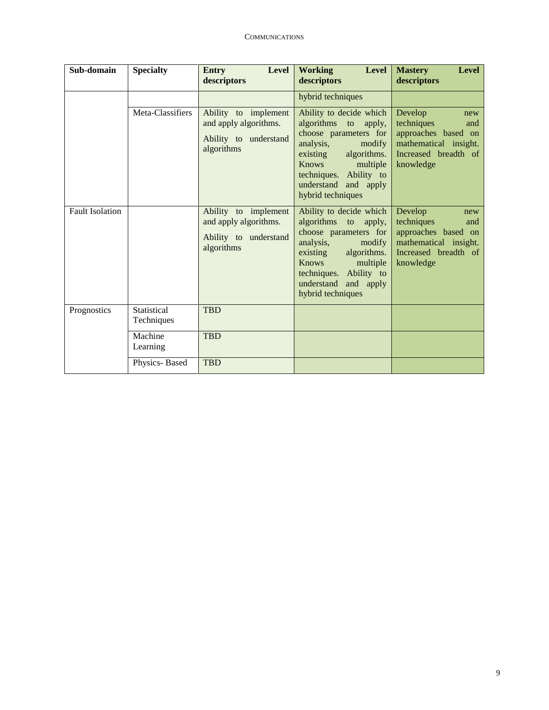| Sub-domain             | <b>Specialty</b>          | <b>Entry</b><br><b>Level</b><br>descriptors                                          | <b>Working</b><br><b>Level</b><br>descriptors                                                                                                                                                                                    | <b>Mastery</b><br><b>Level</b><br>descriptors                                                                            |
|------------------------|---------------------------|--------------------------------------------------------------------------------------|----------------------------------------------------------------------------------------------------------------------------------------------------------------------------------------------------------------------------------|--------------------------------------------------------------------------------------------------------------------------|
|                        |                           |                                                                                      | hybrid techniques                                                                                                                                                                                                                |                                                                                                                          |
|                        | Meta-Classifiers          | Ability to implement<br>and apply algorithms.<br>Ability to understand<br>algorithms | Ability to decide which<br>algorithms to<br>apply,<br>choose parameters for<br>analysis,<br>modify<br>existing<br>algorithms.<br><b>Knows</b><br>multiple<br>techniques. Ability to<br>understand and apply<br>hybrid techniques | Develop<br>new<br>techniques<br>and<br>approaches based on<br>mathematical insight.<br>Increased breadth of<br>knowledge |
| <b>Fault Isolation</b> |                           | Ability to implement<br>and apply algorithms.<br>Ability to understand<br>algorithms | Ability to decide which<br>algorithms to<br>apply,<br>choose parameters for<br>analysis,<br>modify<br>algorithms.<br>existing<br><b>Knows</b><br>multiple<br>techniques. Ability to<br>understand and apply<br>hybrid techniques | Develop<br>new<br>techniques<br>and<br>approaches based on<br>mathematical insight.<br>Increased breadth of<br>knowledge |
| Prognostics            | Statistical<br>Techniques | <b>TBD</b>                                                                           |                                                                                                                                                                                                                                  |                                                                                                                          |
|                        | Machine<br>Learning       | <b>TBD</b>                                                                           |                                                                                                                                                                                                                                  |                                                                                                                          |
|                        | Physics-Based             | <b>TBD</b>                                                                           |                                                                                                                                                                                                                                  |                                                                                                                          |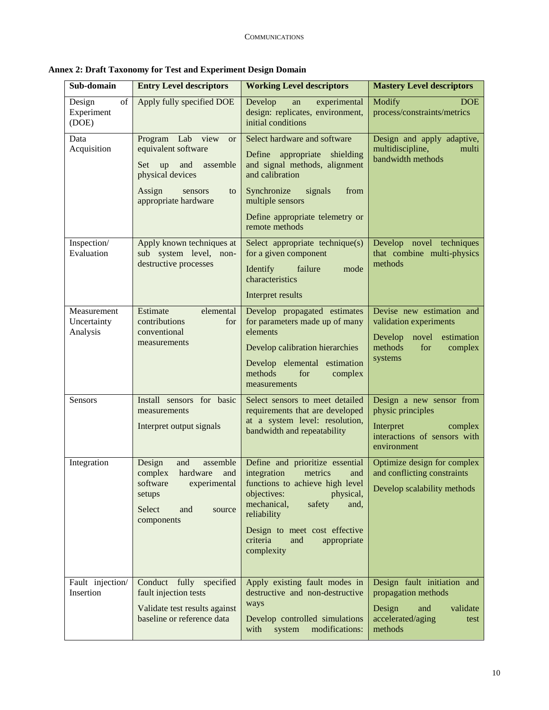| Sub-domain                             | <b>Entry Level descriptors</b>                                                                                                                                 | <b>Working Level descriptors</b>                                                                                                                                                                                                                                 | <b>Mastery Level descriptors</b>                                                                                              |
|----------------------------------------|----------------------------------------------------------------------------------------------------------------------------------------------------------------|------------------------------------------------------------------------------------------------------------------------------------------------------------------------------------------------------------------------------------------------------------------|-------------------------------------------------------------------------------------------------------------------------------|
| of<br>Design<br>Experiment<br>(DOE)    | Apply fully specified DOE                                                                                                                                      | Develop<br>experimental<br>an<br>design: replicates, environment,<br>initial conditions                                                                                                                                                                          | Modify<br><b>DOE</b><br>process/constraints/metrics                                                                           |
| Data<br>Acquisition                    | Lab view<br>Program<br><b>or</b><br>equivalent software<br>assemble<br>Set<br>up<br>and<br>physical devices<br>Assign<br>sensors<br>to<br>appropriate hardware | Select hardware and software<br>Define<br>appropriate<br>shielding<br>and signal methods, alignment<br>and calibration<br>Synchronize<br>signals<br>from<br>multiple sensors<br>Define appropriate telemetry or<br>remote methods                                | Design and apply adaptive,<br>multidiscipline,<br>multi<br>bandwidth methods                                                  |
| Inspection/<br>Evaluation              | Apply known techniques at<br>sub system level, non-<br>destructive processes                                                                                   | Select appropriate technique(s)<br>for a given component<br>failure<br>Identify<br>mode<br>characteristics<br>Interpret results                                                                                                                                  | Develop novel techniques<br>that combine multi-physics<br>methods                                                             |
| Measurement<br>Uncertainty<br>Analysis | Estimate<br>elemental<br>contributions<br>for<br>conventional<br>measurements                                                                                  | Develop propagated estimates<br>for parameters made up of many<br>elements<br>Develop calibration hierarchies<br>Develop elemental estimation<br>methods<br>for<br>complex<br>measurements                                                                       | Devise new estimation and<br>validation experiments<br>Develop<br>novel<br>estimation<br>methods<br>for<br>complex<br>systems |
| Sensors                                | Install sensors for basic<br>measurements<br>Interpret output signals                                                                                          | Select sensors to meet detailed<br>requirements that are developed<br>at a system level: resolution,<br>bandwidth and repeatability                                                                                                                              | Design a new sensor from<br>physic principles<br>Interpret<br>complex<br>interactions of sensors with<br>environment          |
| Integration                            | assemble<br>Design<br>and<br>complex<br>hardware<br>and<br>experimental<br>software<br>setups<br>Select<br>and<br>source<br>components                         | Define and prioritize essential<br>integration<br>metrics<br>and<br>functions to achieve high level<br>objectives:<br>physical,<br>mechanical,<br>safety<br>and.<br>reliability<br>Design to meet cost effective<br>criteria<br>and<br>appropriate<br>complexity | Optimize design for complex<br>and conflicting constraints<br>Develop scalability methods                                     |
| Fault injection/<br>Insertion          | Conduct fully specified<br>fault injection tests<br>Validate test results against<br>baseline or reference data                                                | Apply existing fault modes in<br>destructive and non-destructive<br>ways<br>Develop controlled simulations<br>modifications:<br>with<br>system                                                                                                                   | Design fault initiation and<br>propagation methods<br>Design<br>validate<br>and<br>accelerated/aging<br>test<br>methods       |

**Annex 2: Draft Taxonomy for Test and Experiment Design Domain**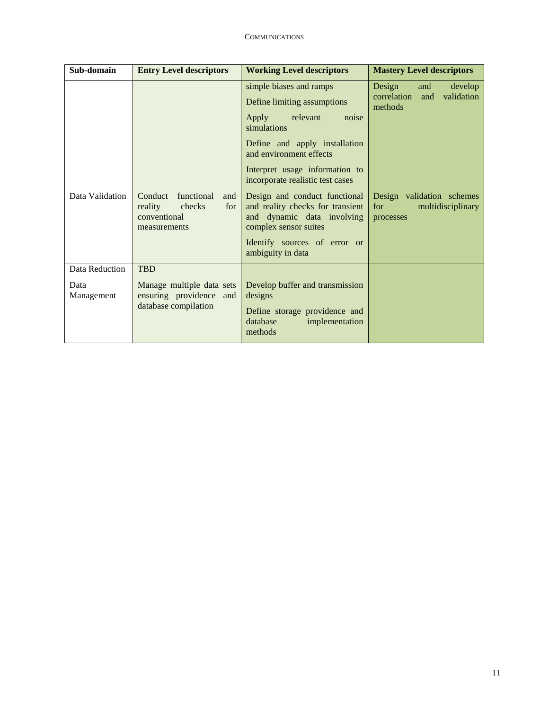| Sub-domain         | <b>Entry Level descriptors</b>                                                           | <b>Working Level descriptors</b>                                                                                                                                                                                                   | <b>Mastery Level descriptors</b>                                        |
|--------------------|------------------------------------------------------------------------------------------|------------------------------------------------------------------------------------------------------------------------------------------------------------------------------------------------------------------------------------|-------------------------------------------------------------------------|
|                    |                                                                                          | simple biases and ramps<br>Define limiting assumptions<br>Apply relevant<br>noise<br>simulations<br>Define and apply installation<br>and environment effects<br>Interpret usage information to<br>incorporate realistic test cases | Design<br>and<br>develop<br>correlation<br>validation<br>and<br>methods |
| Data Validation    | Conduct<br>functional<br>and<br>reality<br>checks<br>for<br>conventional<br>measurements | Design and conduct functional<br>and reality checks for transient<br>and dynamic data involving<br>complex sensor suites<br>Identify sources of error or<br>ambiguity in data                                                      | Design validation schemes<br>multidisciplinary<br>for<br>processes      |
| Data Reduction     | <b>TBD</b>                                                                               |                                                                                                                                                                                                                                    |                                                                         |
| Data<br>Management | Manage multiple data sets<br>ensuring providence and<br>database compilation             | Develop buffer and transmission<br>designs<br>Define storage providence and<br>database<br>implementation<br>methods                                                                                                               |                                                                         |